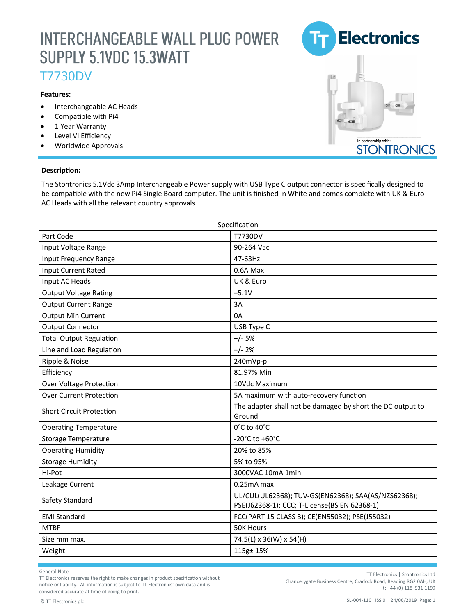## **INTERCHANGEABLE WALL PLUG POWER** SUPPLY 5.1VDC 15.3WATT

### T7730DV

#### **Features:**

- Interchangeable AC Heads
- Compatible with Pi4
- 1 Year Warranty
- Level VI Efficiency
- Worldwide Approvals

#### **Description:**

The Stontronics 5.1Vdc 3Amp Interchangeable Power supply with USB Type C output connector is specifically designed to be compatible with the new Pi4 Single Board computer. The unit is finished in White and comes complete with UK & Euro AC Heads with all the relevant country approvals.

| Specification                   |                                                                      |
|---------------------------------|----------------------------------------------------------------------|
| Part Code                       | T7730DV                                                              |
| Input Voltage Range             | 90-264 Vac                                                           |
| Input Frequency Range           | 47-63Hz                                                              |
| Input Current Rated             | 0.6A Max                                                             |
| Input AC Heads                  | UK & Euro                                                            |
| <b>Output Voltage Rating</b>    | $+5.1V$                                                              |
| <b>Output Current Range</b>     | 3A                                                                   |
| Output Min Current              | 0A                                                                   |
| <b>Output Connector</b>         | USB Type C                                                           |
| <b>Total Output Regulation</b>  | $+/- 5%$                                                             |
| Line and Load Regulation        | $+/- 2%$                                                             |
| Ripple & Noise                  | 240mVp-p                                                             |
| Efficiency                      | 81.97% Min                                                           |
| <b>Over Voltage Protection</b>  | 10Vdc Maximum                                                        |
| <b>Over Current Protection</b>  | 5A maximum with auto-recovery function                               |
| <b>Short Circuit Protection</b> | The adapter shall not be damaged by short the DC output to<br>Ground |
| <b>Operating Temperature</b>    | 0°C to 40°C                                                          |
| <b>Storage Temperature</b>      | -20°C to +60°C                                                       |
| <b>Operating Humidity</b>       | 20% to 85%                                                           |
| <b>Storage Humidity</b>         | 5% to 95%                                                            |
| Hi-Pot                          | 3000VAC 10mA 1min                                                    |
| Leakage Current                 | $0.25mA$ max                                                         |
|                                 | UL/CUL(UL62368); TUV-GS(EN62368); SAA(AS/NZS62368);                  |
| Safety Standard                 | PSE(J62368-1); CCC; T-License(BS EN 62368-1)                         |
| <b>EMI Standard</b>             | FCC(PART 15 CLASS B); CE(EN55032); PSE(J55032)                       |
| <b>MTBF</b>                     | 50K Hours                                                            |
| Size mm max.                    | 74.5(L) x 36(W) x 54(H)                                              |
| Weight                          | 115g± 15%                                                            |

General Note

TT Electronics reserves the right to make changes in product specification without notice or liability. All information is subject to TT Electronics' own data and is considered accurate at time of going to print.